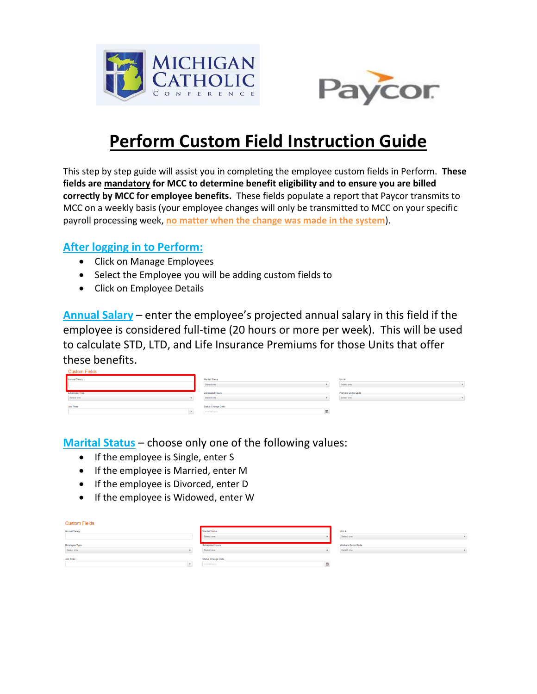



## **Perform Custom Field Instruction Guide**

This step by step guide will assist you in completing the employee custom fields in Perform. **These fields are mandatory for MCC to determine benefit eligibility and to ensure you are billed correctly by MCC for employee benefits.** These fields populate a report that Paycor transmits to MCC on a weekly basis (your employee changes will only be transmitted to MCC on your specific payroll processing week, **no matter when the change was made in the system**).

## **After logging in to Perform:**

- Click on Manage Employees
- Select the Employee you will be adding custom fields to
- Click on Employee Details

**Annual Salary** – enter the employee's projected annual salary in this field if the employee is considered full-time (20 hours or more per week). This will be used to calculate STD, LTD, and Life Insurance Premiums for those Units that offer these benefits.

| CUSIUIII I ICIUS            |                                       |                                 |
|-----------------------------|---------------------------------------|---------------------------------|
| Annual Salary               | Marital Status<br>Select one          | Unit #<br>Select one            |
| Employee Type<br>Select one | <b>Scheduled Hours</b><br>Select one  | Workers Comp Code<br>Select one |
| Job Titles                  | Status Change Date<br>mm/dd/yyyy<br>œ |                                 |

**Marital Status** – choose only one of the following values:

- If the employee is Single, enter S
- If the employee is Married, enter M
- If the employee is Divorced, enter D
- If the employee is Widowed, enter W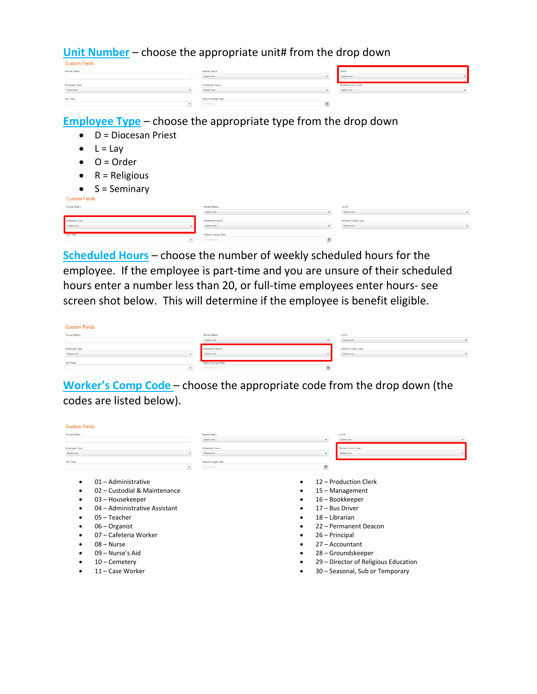**Unit Number** – choose the appropriate unit# from the drop down

| <b>CUSTOM FIERS</b>  |                    |                   |  |
|----------------------|--------------------|-------------------|--|
| <b>Annual Salary</b> | Marital Status     | Unit #            |  |
|                      | Select one         | Select one        |  |
|                      |                    |                   |  |
| Employee Type        | Scheduled Hours    | Workers Comp Code |  |
| Select one           | Select one         | Select one        |  |
|                      |                    |                   |  |
| <b>Job Titles</b>    | Status Change Date |                   |  |
|                      | mm/dd/yyyy         |                   |  |

**Employee Type** – choose the appropriate type from the drop down

- $\bullet$  D = Diocesan Priest
- $\bullet$  L = Lay
- $\bullet$  O = Order
- $\bullet$  R = Religious

| $S =$ Seminary |  |
|----------------|--|

| $\tilde{\phantom{a}}$<br>----------- |                        |                   |  |
|--------------------------------------|------------------------|-------------------|--|
| <b>Custom Fields</b>                 |                        |                   |  |
| Annual Salary                        | <b>Marital Status</b>  | Unit #            |  |
|                                      | Select one             | Select one        |  |
| Employee Type                        | <b>Scheduled Hours</b> | Workers Comp Code |  |
| Select one                           | Select one             | Select one        |  |
|                                      |                        |                   |  |
| Job Titles                           | Status Change Date     |                   |  |
|                                      | mmldd/yyyy             |                   |  |

**Scheduled Hours** – choose the number of weekly scheduled hours for the employee. If the employee is part-time and you are unsure of their scheduled hours enter a number less than 20, or full-time employees enter hours- see screen shot below. This will determine if the employee is benefit eligible.

| <b>Custom Fields</b>               |                               |                                 |  |
|------------------------------------|-------------------------------|---------------------------------|--|
| Annual Salary                      | Marital Status<br>Select one  | Unit #<br>Select one            |  |
|                                    |                               |                                 |  |
| <b>Employee Type</b><br>Select one | Scheduled Hours<br>Select one | Workers Comp Code<br>Select one |  |

**Worker's Comp Code** – choose the appropriate code from the drop down (the codes are listed below).

| <b>Custom Fields</b> |                               |                                  |                           |                                      |
|----------------------|-------------------------------|----------------------------------|---------------------------|--------------------------------------|
| Annual Salary        |                               | Marital Status                   |                           | Unit #                               |
|                      |                               | Select one                       | $\boldsymbol{\mathrm{v}}$ | Select one                           |
| <b>Employee Type</b> |                               | Scheduled Hours                  |                           | Workers Comp Code                    |
| Select one           |                               | Select one                       | $\boldsymbol{\mathrm{v}}$ | Select one                           |
| <b>Job Titles</b>    | $\mathbf{v}$                  | Status Change Date<br>mm/dd/yyyy | m                         |                                      |
|                      | 01 - Administrative           |                                  |                           | 12 - Production Clerk                |
|                      | 02 - Custodial & Maintenance  |                                  |                           | 15 - Management                      |
|                      |                               |                                  |                           |                                      |
|                      | 03 – Housekeeper              |                                  | ٠                         | 16 - Bookkeeper                      |
|                      | 04 - Administrative Assistant |                                  | ٠                         | 17 - Bus Driver                      |
|                      | 05 - Teacher                  |                                  | ٠                         | 18 - Librarian                       |
|                      | 06 - Organist                 |                                  |                           | 22 - Permanent Deacon                |
|                      | 07 – Cafeteria Worker         |                                  | ٠                         | 26 – Principal                       |
|                      | $08 - Nurse$                  |                                  | ٠                         | 27 - Accountant                      |
|                      | 09 - Nurse's Aid              |                                  |                           | 28 - Groundskeeper                   |
|                      | 10 - Cemetery                 |                                  |                           | 29 - Director of Religious Education |
|                      | 11 - Case Worker              |                                  |                           | 30 - Seasonal, Sub or Temporary      |
|                      |                               |                                  |                           |                                      |